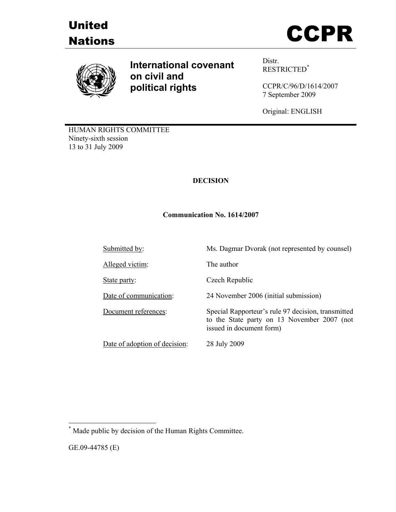





**International covenant on civil and political rights**

Distr. RESTRICTED\*

CCPR/C/96/D/1614/2007 7 September 2009

Original: ENGLISH

to the State party on 13 November 2007 (not

HUMAN RIGHTS COMMITTEE Ninety-sixth session 13 to 31 July 2009

# **DECISION**

### **Communication No. 1614/2007**

Submitted by: Ms. Dagmar Dvorak (not represented by counsel)

Alleged victim: The author

State party: Czech Republic

Date of communication: 24 November 2006 (initial submission)

Document references: Special Rapporteur's rule 97 decision, transmitted

Date of adoption of decision: 28 July 2009

issued in document form)

 $\overline{a}$ 

<sup>\*</sup> Made public by decision of the Human Rights Committee.

GE.09-44785 (E)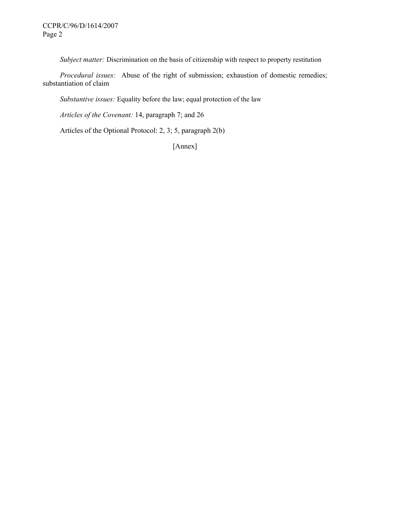*Subject matter:* Discrimination on the basis of citizenship with respect to property restitution

 *Procedural issues:* Abuse of the right of submission; exhaustion of domestic remedies; substantiation of claim

 *Substantive issues:* Equality before the law; equal protection of the law

 *Articles of the Covenant:* 14, paragraph 7; and 26

Articles of the Optional Protocol: 2, 3; 5, paragraph 2(b)

[Annex]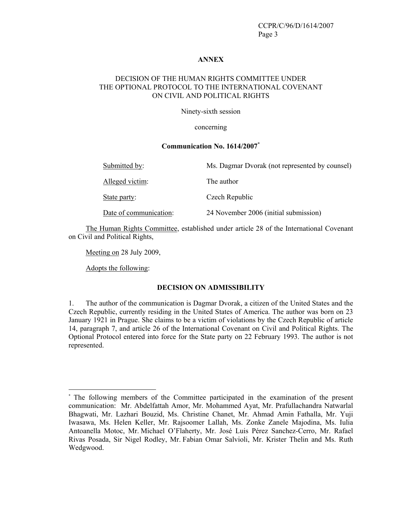#### **ANNEX**

#### DECISION OF THE HUMAN RIGHTS COMMITTEE UNDER THE OPTIONAL PROTOCOL TO THE INTERNATIONAL COVENANT ON CIVIL AND POLITICAL RIGHTS

Ninety-sixth session

#### concerning

#### **Communication No. 1614/2007\***

| Submitted by:          | Ms. Dagmar Dvorak (not represented by counsel) |
|------------------------|------------------------------------------------|
| Alleged victim:        | The author                                     |
| State party:           | Czech Republic                                 |
| Date of communication: | 24 November 2006 (initial submission)          |

 The Human Rights Committee, established under article 28 of the International Covenant on Civil and Political Rights,

Meeting on 28 July 2009,

Adopts the following:

 $\overline{a}$ 

#### **DECISION ON ADMISSIBILITY**

1. The author of the communication is Dagmar Dvorak, a citizen of the United States and the Czech Republic, currently residing in the United States of America. The author was born on 23 January 1921 in Prague. She claims to be a victim of violations by the Czech Republic of article 14, paragraph 7, and article 26 of the International Covenant on Civil and Political Rights. The Optional Protocol entered into force for the State party on 22 February 1993. The author is not represented.

<sup>\*</sup> The following members of the Committee participated in the examination of the present communication: Mr. Abdelfattah Amor, Mr. Mohammed Ayat, Mr. Prafullachandra Natwarlal Bhagwati, Mr. Lazhari Bouzid, Ms. Christine Chanet, Mr. Ahmad Amin Fathalla, Mr. Yuji Iwasawa, Ms. Helen Keller, Mr. Rajsoomer Lallah, Ms. Zonke Zanele Majodina, Ms. Iulia Antoanella Motoc, Mr. Michael O'Flaherty, Mr. José Luis Pérez Sanchez-Cerro, Mr. Rafael Rivas Posada, Sir Nigel Rodley, Mr. Fabian Omar Salvioli, Mr. Krister Thelin and Ms. Ruth Wedgwood.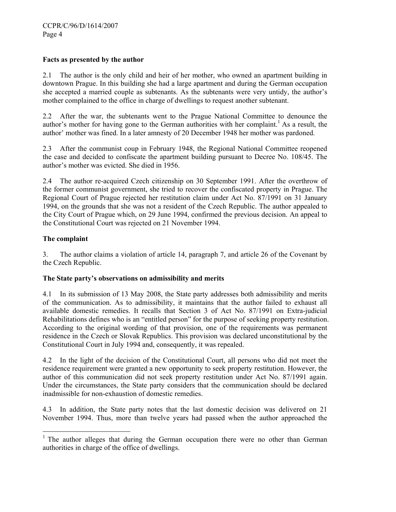### **Facts as presented by the author**

2.1 The author is the only child and heir of her mother, who owned an apartment building in downtown Prague. In this building she had a large apartment and during the German occupation she accepted a married couple as subtenants. As the subtenants were very untidy, the author's mother complained to the office in charge of dwellings to request another subtenant.

2.2 After the war, the subtenants went to the Prague National Committee to denounce the author's mother for having gone to the German authorities with her complaint.<sup>1</sup> As a result, the author' mother was fined. In a later amnesty of 20 December 1948 her mother was pardoned.

2.3 After the communist coup in February 1948, the Regional National Committee reopened the case and decided to confiscate the apartment building pursuant to Decree No. 108/45. The author's mother was evicted. She died in 1956.

2.4 The author re-acquired Czech citizenship on 30 September 1991. After the overthrow of the former communist government, she tried to recover the confiscated property in Prague. The Regional Court of Prague rejected her restitution claim under Act No. 87/1991 on 31 January 1994, on the grounds that she was not a resident of the Czech Republic. The author appealed to the City Court of Prague which, on 29 June 1994, confirmed the previous decision. An appeal to the Constitutional Court was rejected on 21 November 1994.

### **The complaint**

-

3. The author claims a violation of article 14, paragraph 7, and article 26 of the Covenant by the Czech Republic.

#### **The State party's observations on admissibility and merits**

4.1 In its submission of 13 May 2008, the State party addresses both admissibility and merits of the communication. As to admissibility, it maintains that the author failed to exhaust all available domestic remedies. It recalls that Section 3 of Act No. 87/1991 on Extra-judicial Rehabilitations defines who is an "entitled person" for the purpose of seeking property restitution. According to the original wording of that provision, one of the requirements was permanent residence in the Czech or Slovak Republics. This provision was declared unconstitutional by the Constitutional Court in July 1994 and, consequently, it was repealed.

4.2 In the light of the decision of the Constitutional Court, all persons who did not meet the residence requirement were granted a new opportunity to seek property restitution. However, the author of this communication did not seek property restitution under Act No. 87/1991 again. Under the circumstances, the State party considers that the communication should be declared inadmissible for non-exhaustion of domestic remedies.

4.3 In addition, the State party notes that the last domestic decision was delivered on 21 November 1994. Thus, more than twelve years had passed when the author approached the

<sup>&</sup>lt;sup>1</sup> The author alleges that during the German occupation there were no other than German authorities in charge of the office of dwellings.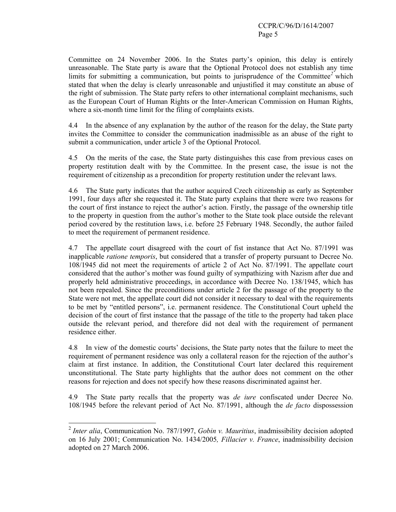Committee on 24 November 2006. In the States party's opinion, this delay is entirely unreasonable. The State party is aware that the Optional Protocol does not establish any time limits for submitting a communication, but points to jurisprudence of the Committee<sup>2</sup> which stated that when the delay is clearly unreasonable and unjustified it may constitute an abuse of the right of submission. The State party refers to other international complaint mechanisms, such as the European Court of Human Rights or the Inter-American Commission on Human Rights, where a six-month time limit for the filing of complaints exists.

4.4 In the absence of any explanation by the author of the reason for the delay, the State party invites the Committee to consider the communication inadmissible as an abuse of the right to submit a communication, under article 3 of the Optional Protocol.

4.5 On the merits of the case, the State party distinguishes this case from previous cases on property restitution dealt with by the Committee. In the present case, the issue is not the requirement of citizenship as a precondition for property restitution under the relevant laws.

4.6 The State party indicates that the author acquired Czech citizenship as early as September 1991, four days after she requested it. The State party explains that there were two reasons for the court of first instance to reject the author's action. Firstly, the passage of the ownership title to the property in question from the author's mother to the State took place outside the relevant period covered by the restitution laws, i.e. before 25 February 1948. Secondly, the author failed to meet the requirement of permanent residence.

4.7 The appellate court disagreed with the court of fist instance that Act No. 87/1991 was inapplicable *ratione temporis*, but considered that a transfer of property pursuant to Decree No. 108/1945 did not meet the requirements of article 2 of Act No. 87/1991. The appellate court considered that the author's mother was found guilty of sympathizing with Nazism after due and properly held administrative proceedings, in accordance with Decree No. 138/1945, which has not been repealed. Since the preconditions under article 2 for the passage of the property to the State were not met, the appellate court did not consider it necessary to deal with the requirements to be met by "entitled persons", i.e. permanent residence. The Constitutional Court upheld the decision of the court of first instance that the passage of the title to the property had taken place outside the relevant period, and therefore did not deal with the requirement of permanent residence either.

4.8 In view of the domestic courts' decisions, the State party notes that the failure to meet the requirement of permanent residence was only a collateral reason for the rejection of the author's claim at first instance. In addition, the Constitutional Court later declared this requirement unconstitutional. The State party highlights that the author does not comment on the other reasons for rejection and does not specify how these reasons discriminated against her.

4.9 The State party recalls that the property was *de iure* confiscated under Decree No. 108/1945 before the relevant period of Act No. 87/1991, although the *de facto* dispossession

 $\overline{a}$ 

<sup>2</sup> *Inter alia*, Communication No. 787/1997, *Gobin v. Mauritius*, inadmissibility decision adopted on 16 July 2001; Communication No. 1434/2005*, Fillacier v. France*, inadmissibility decision adopted on 27 March 2006.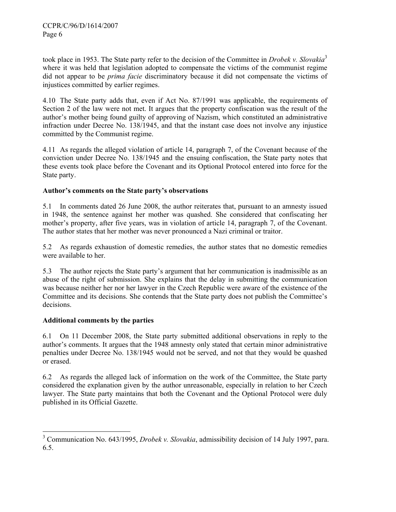took place in 1953. The State party refer to the decision of the Committee in *Drobek v. Slovakia*<sup>3</sup> where it was held that legislation adopted to compensate the victims of the communist regime did not appear to be *prima facie* discriminatory because it did not compensate the victims of injustices committed by earlier regimes.

4.10 The State party adds that, even if Act No. 87/1991 was applicable, the requirements of Section 2 of the law were not met. It argues that the property confiscation was the result of the author's mother being found guilty of approving of Nazism, which constituted an administrative infraction under Decree No. 138/1945, and that the instant case does not involve any injustice committed by the Communist regime.

4.11 As regards the alleged violation of article 14, paragraph 7, of the Covenant because of the conviction under Decree No. 138/1945 and the ensuing confiscation, the State party notes that these events took place before the Covenant and its Optional Protocol entered into force for the State party.

## **Author's comments on the State party's observations**

5.1 In comments dated 26 June 2008, the author reiterates that, pursuant to an amnesty issued in 1948, the sentence against her mother was quashed. She considered that confiscating her mother's property, after five years, was in violation of article 14, paragraph 7, of the Covenant. The author states that her mother was never pronounced a Nazi criminal or traitor.

5.2 As regards exhaustion of domestic remedies, the author states that no domestic remedies were available to her.

5.3 The author rejects the State party's argument that her communication is inadmissible as an abuse of the right of submission. She explains that the delay in submitting the communication was because neither her nor her lawyer in the Czech Republic were aware of the existence of the Committee and its decisions. She contends that the State party does not publish the Committee's decisions.

#### **Additional comments by the parties**

6.1 On 11 December 2008, the State party submitted additional observations in reply to the author's comments. It argues that the 1948 amnesty only stated that certain minor administrative penalties under Decree No. 138/1945 would not be served, and not that they would be quashed or erased.

6.2 As regards the alleged lack of information on the work of the Committee, the State party considered the explanation given by the author unreasonable, especially in relation to her Czech lawyer. The State party maintains that both the Covenant and the Optional Protocol were duly published in its Official Gazette.

<sup>&</sup>lt;sup>3</sup> Communication No. 643/1995, *Drobek v. Slovakia*, admissibility decision of 14 July 1997, para. 6.5.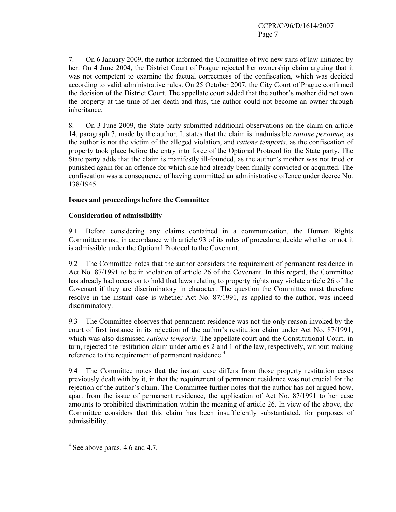7. On 6 January 2009, the author informed the Committee of two new suits of law initiated by her: On 4 June 2004, the District Court of Prague rejected her ownership claim arguing that it was not competent to examine the factual correctness of the confiscation, which was decided according to valid administrative rules. On 25 October 2007, the City Court of Prague confirmed the decision of the District Court. The appellate court added that the author's mother did not own the property at the time of her death and thus, the author could not become an owner through inheritance.

8. On 3 June 2009, the State party submitted additional observations on the claim on article 14, paragraph 7, made by the author. It states that the claim is inadmissible *ratione personae*, as the author is not the victim of the alleged violation, and *ratione temporis*, as the confiscation of property took place before the entry into force of the Optional Protocol for the State party. The State party adds that the claim is manifestly ill-founded, as the author's mother was not tried or punished again for an offence for which she had already been finally convicted or acquitted. The confiscation was a consequence of having committed an administrative offence under decree No. 138/1945.

### **Issues and proceedings before the Committee**

### **Consideration of admissibility**

9.1 Before considering any claims contained in a communication, the Human Rights Committee must, in accordance with article 93 of its rules of procedure, decide whether or not it is admissible under the Optional Protocol to the Covenant.

9.2 The Committee notes that the author considers the requirement of permanent residence in Act No. 87/1991 to be in violation of article 26 of the Covenant. In this regard, the Committee has already had occasion to hold that laws relating to property rights may violate article 26 of the Covenant if they are discriminatory in character. The question the Committee must therefore resolve in the instant case is whether Act No. 87/1991, as applied to the author, was indeed discriminatory.

9.3 The Committee observes that permanent residence was not the only reason invoked by the court of first instance in its rejection of the author's restitution claim under Act No. 87/1991, which was also dismissed *ratione temporis*. The appellate court and the Constitutional Court, in turn, rejected the restitution claim under articles 2 and 1 of the law, respectively, without making reference to the requirement of permanent residence.<sup>4</sup>

9.4 The Committee notes that the instant case differs from those property restitution cases previously dealt with by it, in that the requirement of permanent residence was not crucial for the rejection of the author's claim. The Committee further notes that the author has not argued how, apart from the issue of permanent residence, the application of Act No. 87/1991 to her case amounts to prohibited discrimination within the meaning of article 26. In view of the above, the Committee considers that this claim has been insufficiently substantiated, for purposes of admissibility.

 $\overline{a}$ 

<sup>&</sup>lt;sup>4</sup> See above paras. 4.6 and 4.7.